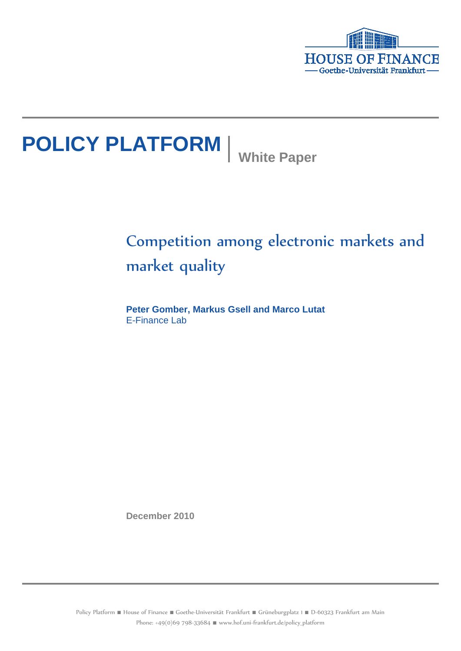

# **POLICY PLATFORM** White Paper

# Competition among electronic markets and market quality

**Peter Gomber, Markus Gsell and Marco Lutat** E-Finance Lab

**December 2010**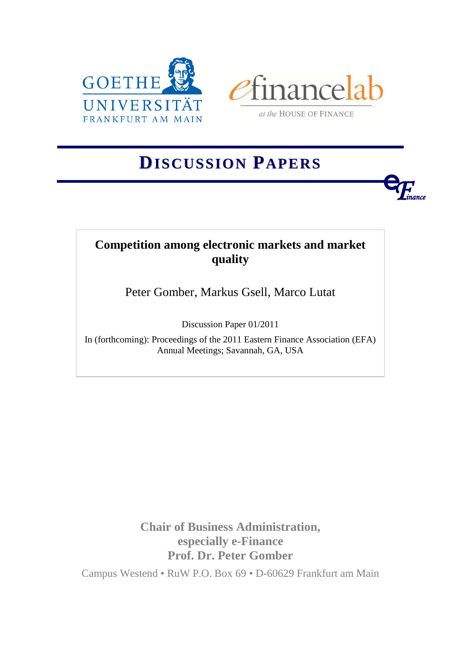



at the HOUSE OF FINANCE

**<sup>e</sup>***Finance* 

# **DISCUSSION PAPERS**

## **Competition among electronic markets and market quality**

Peter Gomber, Markus Gsell, Marco Lutat

Discussion Paper 01/2011

In (forthcoming): Proceedings of the 2011 Eastern Finance Association (EFA) Annual Meetings; Savannah, GA, USA

> **Chair of Business Administration, especially e-Finance Prof. Dr. Peter Gomber**

Campus Westend • RuW P.O. Box 69 • D-60629 Frankfurt am Main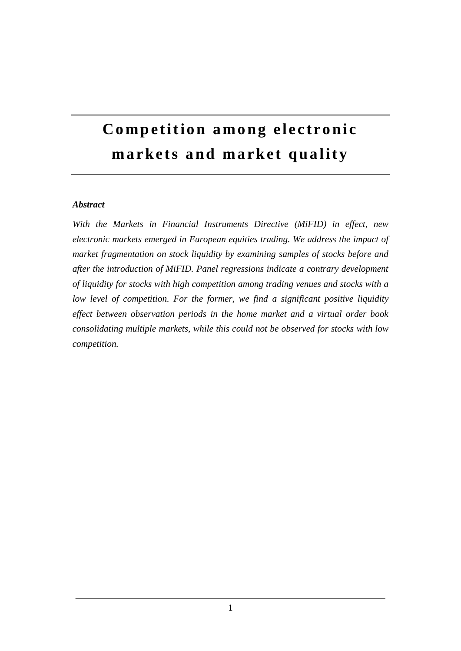# **Competition among electronic** markets and market quality

#### *Abstract*

*With the Markets in Financial Instruments Directive (MiFID) in effect, new electronic markets emerged in European equities trading. We address the impact of market fragmentation on stock liquidity by examining samples of stocks before and after the introduction of MiFID. Panel regressions indicate a contrary development of liquidity for stocks with high competition among trading venues and stocks with a low level of competition. For the former, we find a significant positive liquidity effect between observation periods in the home market and a virtual order book consolidating multiple markets, while this could not be observed for stocks with low competition.*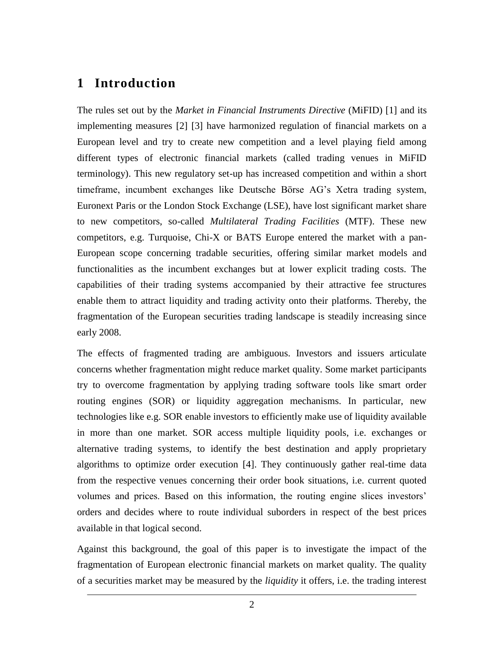## **1 Introduction**

The rules set out by the *Market in Financial Instruments Directive* (MiFID) [1] and its implementing measures [2] [3] have harmonized regulation of financial markets on a European level and try to create new competition and a level playing field among different types of electronic financial markets (called trading venues in MiFID terminology). This new regulatory set-up has increased competition and within a short timeframe, incumbent exchanges like Deutsche Börse AG's Xetra trading system, Euronext Paris or the London Stock Exchange (LSE), have lost significant market share to new competitors, so-called *Multilateral Trading Facilities* (MTF). These new competitors, e.g. Turquoise, Chi-X or BATS Europe entered the market with a pan-European scope concerning tradable securities, offering similar market models and functionalities as the incumbent exchanges but at lower explicit trading costs. The capabilities of their trading systems accompanied by their attractive fee structures enable them to attract liquidity and trading activity onto their platforms. Thereby, the fragmentation of the European securities trading landscape is steadily increasing since early 2008.

The effects of fragmented trading are ambiguous. Investors and issuers articulate concerns whether fragmentation might reduce market quality. Some market participants try to overcome fragmentation by applying trading software tools like smart order routing engines (SOR) or liquidity aggregation mechanisms. In particular, new technologies like e.g. SOR enable investors to efficiently make use of liquidity available in more than one market. SOR access multiple liquidity pools, i.e. exchanges or alternative trading systems, to identify the best destination and apply proprietary algorithms to optimize order execution [4]. They continuously gather real-time data from the respective venues concerning their order book situations, i.e. current quoted volumes and prices. Based on this information, the routing engine slices investors' orders and decides where to route individual suborders in respect of the best prices available in that logical second.

Against this background, the goal of this paper is to investigate the impact of the fragmentation of European electronic financial markets on market quality. The quality of a securities market may be measured by the *liquidity* it offers, i.e. the trading interest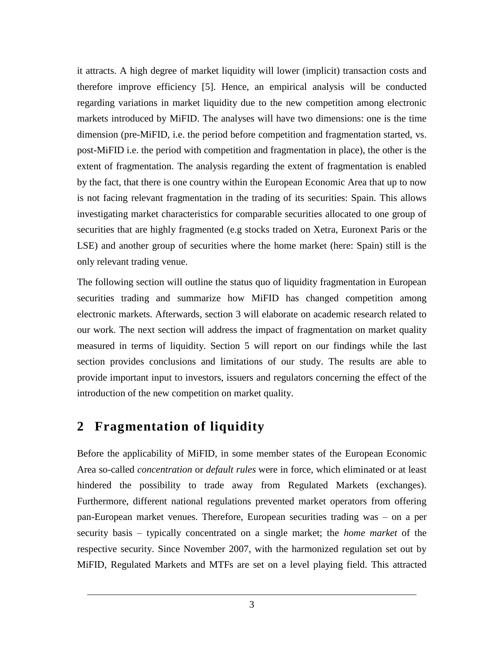it attracts. A high degree of market liquidity will lower (implicit) transaction costs and therefore improve efficiency [5]. Hence, an empirical analysis will be conducted regarding variations in market liquidity due to the new competition among electronic markets introduced by MiFID. The analyses will have two dimensions: one is the time dimension (pre-MiFID, i.e. the period before competition and fragmentation started, vs. post-MiFID i.e. the period with competition and fragmentation in place), the other is the extent of fragmentation. The analysis regarding the extent of fragmentation is enabled by the fact, that there is one country within the European Economic Area that up to now is not facing relevant fragmentation in the trading of its securities: Spain. This allows investigating market characteristics for comparable securities allocated to one group of securities that are highly fragmented (e.g stocks traded on Xetra, Euronext Paris or the LSE) and another group of securities where the home market (here: Spain) still is the only relevant trading venue.

The following section will outline the status quo of liquidity fragmentation in European securities trading and summarize how MiFID has changed competition among electronic markets. Afterwards, section [3](#page-5-0) will elaborate on academic research related to our work. The next section will address the impact of fragmentation on market quality measured in terms of liquidity. Section [5](#page-15-0) will report on our findings while the last section provides conclusions and limitations of our study. The results are able to provide important input to investors, issuers and regulators concerning the effect of the introduction of the new competition on market quality.

## **2 Fragmentation of liquidity**

Before the applicability of MiFID, in some member states of the European Economic Area so-called *concentration* or *default rules* were in force, which eliminated or at least hindered the possibility to trade away from Regulated Markets (exchanges). Furthermore, different national regulations prevented market operators from offering pan-European market venues. Therefore, European securities trading was – on a per security basis – typically concentrated on a single market; the *home market* of the respective security. Since November 2007, with the harmonized regulation set out by MiFID, Regulated Markets and MTFs are set on a level playing field. This attracted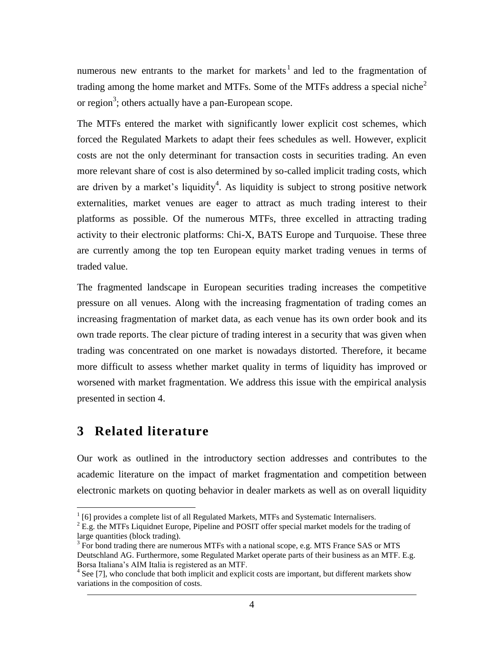numerous new entrants to the market for markets<sup>1</sup> and led to the fragmentation of trading among the home market and MTFs. Some of the MTFs address a special niche<sup>2</sup> or region<sup>3</sup>; others actually have a pan-European scope.

The MTFs entered the market with significantly lower explicit cost schemes, which forced the Regulated Markets to adapt their fees schedules as well. However, explicit costs are not the only determinant for transaction costs in securities trading. An even more relevant share of cost is also determined by so-called implicit trading costs, which are driven by a market's liquidity<sup>4</sup>. As liquidity is subject to strong positive network externalities, market venues are eager to attract as much trading interest to their platforms as possible. Of the numerous MTFs, three excelled in attracting trading activity to their electronic platforms: Chi-X, BATS Europe and Turquoise. These three are currently among the top ten European equity market trading venues in terms of traded value.

The fragmented landscape in European securities trading increases the competitive pressure on all venues. Along with the increasing fragmentation of trading comes an increasing fragmentation of market data, as each venue has its own order book and its own trade reports. The clear picture of trading interest in a security that was given when trading was concentrated on one market is nowadays distorted. Therefore, it became more difficult to assess whether market quality in terms of liquidity has improved or worsened with market fragmentation. We address this issue with the empirical analysis presented in section [4.](#page-8-0)

## <span id="page-5-0"></span>**3 Related literature**

 $\overline{a}$ 

Our work as outlined in the introductory section addresses and contributes to the academic literature on the impact of market fragmentation and competition between electronic markets on quoting behavior in dealer markets as well as on overall liquidity

 $1$  [6] provides a complete list of all Regulated Markets, MTFs and Systematic Internalisers.

 $^{2}$  E.g. the MTFs Liquidnet Europe, Pipeline and POSIT offer special market models for the trading of large quantities (block trading).

<sup>&</sup>lt;sup>3</sup> For bond trading there are numerous MTFs with a national scope, e.g. MTS France SAS or MTS Deutschland AG. Furthermore, some Regulated Market operate parts of their business as an MTF. E.g. Borsa Italiana's AIM Italia is registered as an MTF.

<sup>&</sup>lt;sup>4</sup> See [7], who conclude that both implicit and explicit costs are important, but different markets show variations in the composition of costs.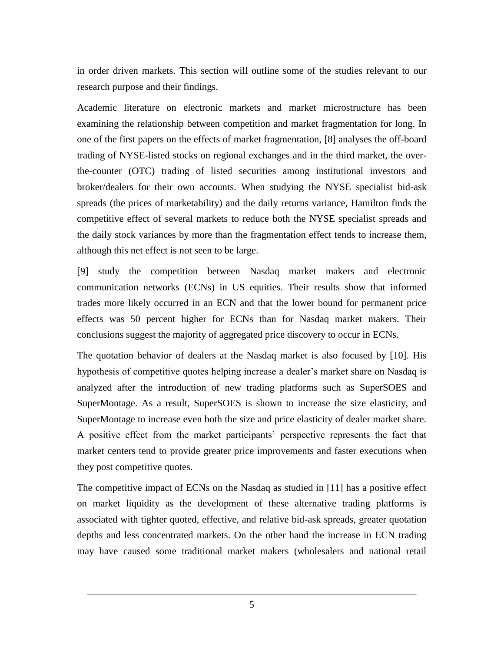in order driven markets. This section will outline some of the studies relevant to our research purpose and their findings.

Academic literature on electronic markets and market microstructure has been examining the relationship between competition and market fragmentation for long. In one of the first papers on the effects of market fragmentation, [8] analyses the off-board trading of NYSE-listed stocks on regional exchanges and in the third market, the overthe-counter (OTC) trading of listed securities among institutional investors and broker/dealers for their own accounts. When studying the NYSE specialist bid-ask spreads (the prices of marketability) and the daily returns variance, Hamilton finds the competitive effect of several markets to reduce both the NYSE specialist spreads and the daily stock variances by more than the fragmentation effect tends to increase them, although this net effect is not seen to be large.

[9] study the competition between Nasdaq market makers and electronic communication networks (ECNs) in US equities. Their results show that informed trades more likely occurred in an ECN and that the lower bound for permanent price effects was 50 percent higher for ECNs than for Nasdaq market makers. Their conclusions suggest the majority of aggregated price discovery to occur in ECNs.

The quotation behavior of dealers at the Nasdaq market is also focused by [10]. His hypothesis of competitive quotes helping increase a dealer's market share on Nasdaq is analyzed after the introduction of new trading platforms such as SuperSOES and SuperMontage. As a result, SuperSOES is shown to increase the size elasticity, and SuperMontage to increase even both the size and price elasticity of dealer market share. A positive effect from the market participants' perspective represents the fact that market centers tend to provide greater price improvements and faster executions when they post competitive quotes.

The competitive impact of ECNs on the Nasdaq as studied in [11] has a positive effect on market liquidity as the development of these alternative trading platforms is associated with tighter quoted, effective, and relative bid-ask spreads, greater quotation depths and less concentrated markets. On the other hand the increase in ECN trading may have caused some traditional market makers (wholesalers and national retail

5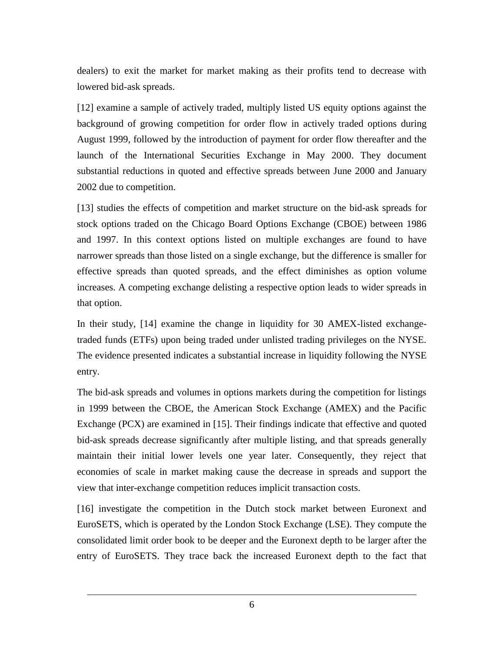dealers) to exit the market for market making as their profits tend to decrease with lowered bid-ask spreads.

[12] examine a sample of actively traded, multiply listed US equity options against the background of growing competition for order flow in actively traded options during August 1999, followed by the introduction of payment for order flow thereafter and the launch of the International Securities Exchange in May 2000. They document substantial reductions in quoted and effective spreads between June 2000 and January 2002 due to competition.

[13] studies the effects of competition and market structure on the bid-ask spreads for stock options traded on the Chicago Board Options Exchange (CBOE) between 1986 and 1997. In this context options listed on multiple exchanges are found to have narrower spreads than those listed on a single exchange, but the difference is smaller for effective spreads than quoted spreads, and the effect diminishes as option volume increases. A competing exchange delisting a respective option leads to wider spreads in that option.

In their study, [14] examine the change in liquidity for 30 AMEX-listed exchangetraded funds (ETFs) upon being traded under unlisted trading privileges on the NYSE. The evidence presented indicates a substantial increase in liquidity following the NYSE entry.

The bid-ask spreads and volumes in options markets during the competition for listings in 1999 between the CBOE, the American Stock Exchange (AMEX) and the Pacific Exchange (PCX) are examined in [15]. Their findings indicate that effective and quoted bid-ask spreads decrease significantly after multiple listing, and that spreads generally maintain their initial lower levels one year later. Consequently, they reject that economies of scale in market making cause the decrease in spreads and support the view that inter-exchange competition reduces implicit transaction costs.

[16] investigate the competition in the Dutch stock market between Euronext and EuroSETS, which is operated by the London Stock Exchange (LSE). They compute the consolidated limit order book to be deeper and the Euronext depth to be larger after the entry of EuroSETS. They trace back the increased Euronext depth to the fact that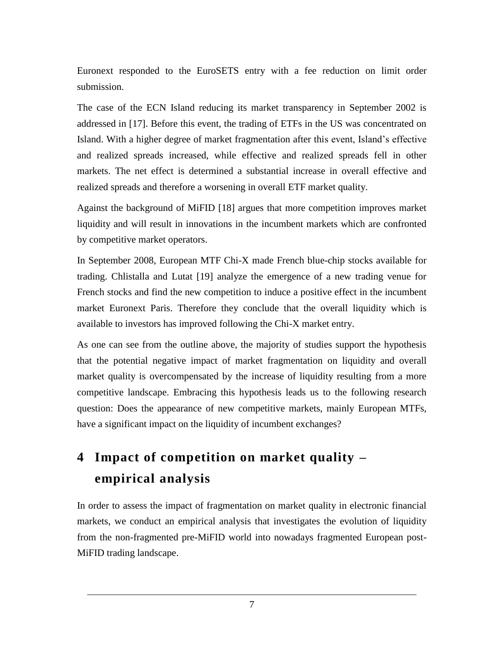Euronext responded to the EuroSETS entry with a fee reduction on limit order submission.

The case of the ECN Island reducing its market transparency in September 2002 is addressed in [17]. Before this event, the trading of ETFs in the US was concentrated on Island. With a higher degree of market fragmentation after this event, Island's effective and realized spreads increased, while effective and realized spreads fell in other markets. The net effect is determined a substantial increase in overall effective and realized spreads and therefore a worsening in overall ETF market quality.

Against the background of MiFID [18] argues that more competition improves market liquidity and will result in innovations in the incumbent markets which are confronted by competitive market operators.

In September 2008, European MTF Chi-X made French blue-chip stocks available for trading. Chlistalla and Lutat [19] analyze the emergence of a new trading venue for French stocks and find the new competition to induce a positive effect in the incumbent market Euronext Paris. Therefore they conclude that the overall liquidity which is available to investors has improved following the Chi-X market entry.

As one can see from the outline above, the majority of studies support the hypothesis that the potential negative impact of market fragmentation on liquidity and overall market quality is overcompensated by the increase of liquidity resulting from a more competitive landscape. Embracing this hypothesis leads us to the following research question: Does the appearance of new competitive markets, mainly European MTFs, have a significant impact on the liquidity of incumbent exchanges?

## <span id="page-8-0"></span>**4 Impact of competition on market quality – empirical analysis**

In order to assess the impact of fragmentation on market quality in electronic financial markets, we conduct an empirical analysis that investigates the evolution of liquidity from the non-fragmented pre-MiFID world into nowadays fragmented European post-MiFID trading landscape.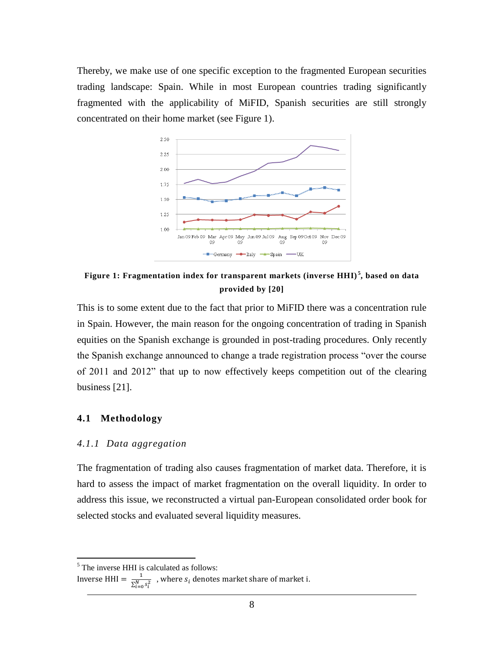Thereby, we make use of one specific exception to the fragmented European securities trading landscape: Spain. While in most European countries trading significantly fragmented with the applicability of MiFID, Spanish securities are still strongly concentrated on their home market (see [Figure 1\)](#page-9-0).



<span id="page-9-0"></span>**Figure 1: Fragmentation index for transparent markets (inverse HHI) <sup>5</sup> , based on data provided by [20]**

This is to some extent due to the fact that prior to MiFID there was a concentration rule in Spain. However, the main reason for the ongoing concentration of trading in Spanish equities on the Spanish exchange is grounded in post-trading procedures. Only recently the Spanish exchange announced to change a trade registration process "over the course of 2011 and 2012" that up to now effectively keeps competition out of the clearing business [21].

#### **4.1 Methodology**

 $\overline{a}$ 

#### *4.1.1 Data aggregation*

The fragmentation of trading also causes fragmentation of market data. Therefore, it is hard to assess the impact of market fragmentation on the overall liquidity. In order to address this issue, we reconstructed a virtual pan-European consolidated order book for selected stocks and evaluated several liquidity measures.

<sup>&</sup>lt;sup>5</sup> The inverse HHI is calculated as follows:

Inverse HHI =  $\frac{1}{n^N}$  $\frac{1}{\sum_{i=0}^{N} s_i^2}$ , where  $s_i$  denotes market share of market i.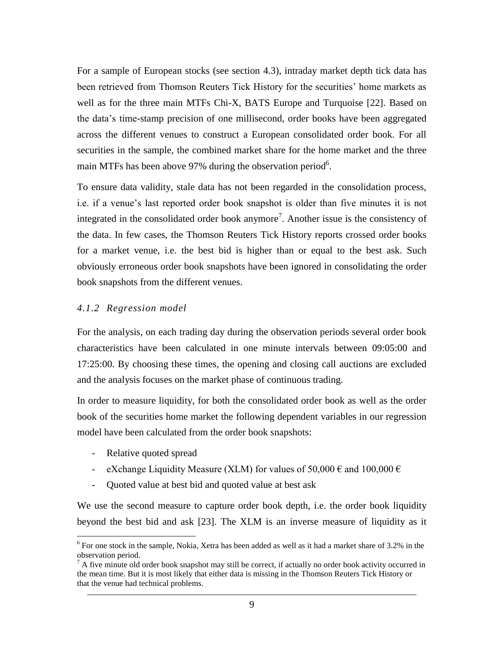For a sample of European stocks (see section [4.3\)](#page-13-0), intraday market depth tick data has been retrieved from Thomson Reuters Tick History for the securities' home markets as well as for the three main MTFs Chi-X, BATS Europe and Turquoise [22]. Based on the data's time-stamp precision of one millisecond, order books have been aggregated across the different venues to construct a European consolidated order book. For all securities in the sample, the combined market share for the home market and the three main MTFs has been above 97% during the observation period<sup>6</sup>.

To ensure data validity, stale data has not been regarded in the consolidation process, i.e. if a venue's last reported order book snapshot is older than five minutes it is not integrated in the consolidated order book anymore<sup>7</sup>. Another issue is the consistency of the data. In few cases, the Thomson Reuters Tick History reports crossed order books for a market venue, i.e. the best bid is higher than or equal to the best ask. Such obviously erroneous order book snapshots have been ignored in consolidating the order book snapshots from the different venues.

#### *4.1.2 Regression model*

For the analysis, on each trading day during the observation periods several order book characteristics have been calculated in one minute intervals between 09:05:00 and 17:25:00. By choosing these times, the opening and closing call auctions are excluded and the analysis focuses on the market phase of continuous trading.

In order to measure liquidity, for both the consolidated order book as well as the order book of the securities home market the following dependent variables in our regression model have been calculated from the order book snapshots:

- Relative quoted spread

 $\overline{a}$ 

- eXchange Liquidity Measure (XLM) for values of  $50,000 \in \text{and } 100,000 \in$
- Quoted value at best bid and quoted value at best ask

We use the second measure to capture order book depth, i.e. the order book liquidity beyond the best bid and ask [23]. The XLM is an inverse measure of liquidity as it

<sup>&</sup>lt;sup>6</sup> For one stock in the sample, Nokia, Xetra has been added as well as it had a market share of 3.2% in the observation period.

 $^7$  A five minute old order book snapshot may still be correct, if actually no order book activity occurred in the mean time. But it is most likely that either data is missing in the Thomson Reuters Tick History or that the venue had technical problems.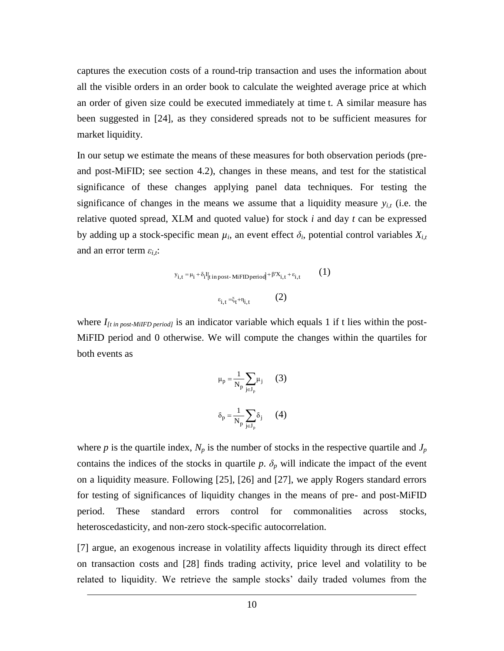captures the execution costs of a round-trip transaction and uses the information about all the visible orders in an order book to calculate the weighted average price at which an order of given size could be executed immediately at time t. A similar measure has been suggested in [24], as they considered spreads not to be sufficient measures for market liquidity.

In our setup we estimate the means of these measures for both observation periods (preand post-MiFID; see section 4.2), changes in these means, and test for the statistical significance of these changes applying panel data techniques. For testing the significance of changes in the means we assume that a liquidity measure  $y_{i,t}$  (i.e. the relative quoted spread, XLM and quoted value) for stock *i* and day *t* can be expressed by adding up a stock-specific mean  $\mu_i$ , an event effect  $\delta_i$ , potential control variables  $X_{i,t}$ and an error term *εi,t*:

$$
y_{i,t} = \mu_i + \delta_i I_{[t in post-MiFID period]} + \beta' X_{i,t} + \varepsilon_{i,t}
$$
\n
$$
\varepsilon_{i,t} = \xi_t + \eta_{i,t}
$$
\n(1)

where  $I_{[t in post-MiIFD period]}$  is an indicator variable which equals 1 if t lies within the post-MiFID period and 0 otherwise. We will compute the changes within the quartiles for both events as

$$
\mu_{p} = \frac{1}{N_{p}} \sum_{j \in J_{p}} \mu_{j} \qquad (3)
$$

$$
\delta_{p} = \frac{1}{N_{p}} \sum_{j \in J_{p}} \delta_{j} \qquad (4)
$$

where *p* is the quartile index,  $N_p$  is the number of stocks in the respective quartile and  $J_p$ contains the indices of the stocks in quartile  $p$ .  $\delta_p$  will indicate the impact of the event on a liquidity measure. Following [25], [26] and [27], we apply Rogers standard errors for testing of significances of liquidity changes in the means of pre- and post-MiFID period. These standard errors control for commonalities across stocks, heteroscedasticity, and non-zero stock-specific autocorrelation.

[7] argue, an exogenous increase in volatility affects liquidity through its direct effect on transaction costs and [28] finds trading activity, price level and volatility to be related to liquidity. We retrieve the sample stocks' daily traded volumes from the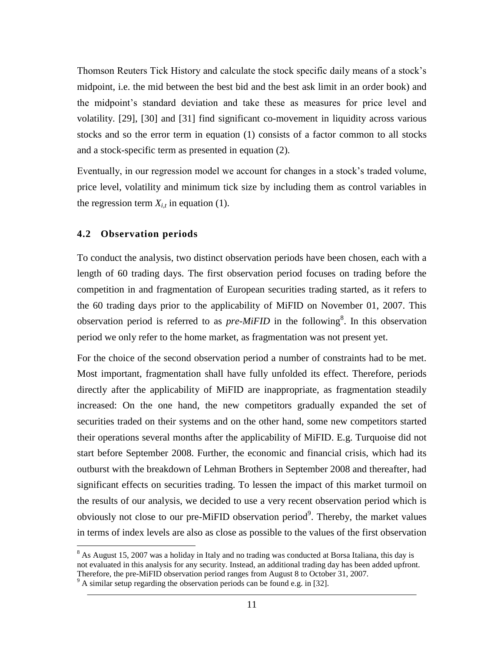Thomson Reuters Tick History and calculate the stock specific daily means of a stock's midpoint, i.e. the mid between the best bid and the best ask limit in an order book) and the midpoint's standard deviation and take these as measures for price level and volatility. [29], [30] and [31] find significant co-movement in liquidity across various stocks and so the error term in equation (1) consists of a factor common to all stocks and a stock-specific term as presented in equation (2).

Eventually, in our regression model we account for changes in a stock's traded volume, price level, volatility and minimum tick size by including them as control variables in the regression term  $X_{i,t}$  in equation (1).

#### **4.2 Observation periods**

 $\overline{a}$ 

To conduct the analysis, two distinct observation periods have been chosen, each with a length of 60 trading days. The first observation period focuses on trading before the competition in and fragmentation of European securities trading started, as it refers to the 60 trading days prior to the applicability of MiFID on November 01, 2007. This observation period is referred to as  $pre-MiFID$  in the following<sup>8</sup>. In this observation period we only refer to the home market, as fragmentation was not present yet.

For the choice of the second observation period a number of constraints had to be met. Most important, fragmentation shall have fully unfolded its effect. Therefore, periods directly after the applicability of MiFID are inappropriate, as fragmentation steadily increased: On the one hand, the new competitors gradually expanded the set of securities traded on their systems and on the other hand, some new competitors started their operations several months after the applicability of MiFID. E.g. Turquoise did not start before September 2008. Further, the economic and financial crisis, which had its outburst with the breakdown of Lehman Brothers in September 2008 and thereafter, had significant effects on securities trading. To lessen the impact of this market turmoil on the results of our analysis, we decided to use a very recent observation period which is obviously not close to our pre-MiFID observation period<sup>9</sup>. Thereby, the market values in terms of index levels are also as close as possible to the values of the first observation

<sup>&</sup>lt;sup>8</sup> As August 15, 2007 was a holiday in Italy and no trading was conducted at Borsa Italiana, this day is not evaluated in this analysis for any security. Instead, an additional trading day has been added upfront. Therefore, the pre-MiFID observation period ranges from August 8 to October 31, 2007.

 $9<sup>9</sup>$  A similar setup regarding the observation periods can be found e.g. in [32].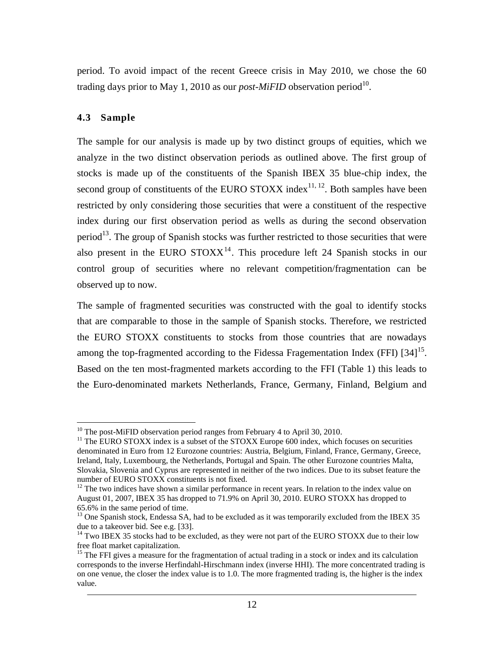period. To avoid impact of the recent Greece crisis in May 2010, we chose the 60 trading days prior to May 1, 2010 as our *post-MiFID* observation period<sup>10</sup>.

#### <span id="page-13-0"></span>**4.3 Sample**

The sample for our analysis is made up by two distinct groups of equities, which we analyze in the two distinct observation periods as outlined above. The first group of stocks is made up of the constituents of the Spanish IBEX 35 blue-chip index, the second group of constituents of the EURO STOXX index<sup>11, 12</sup>. Both samples have been restricted by only considering those securities that were a constituent of the respective index during our first observation period as wells as during the second observation period<sup>13</sup>. The group of Spanish stocks was further restricted to those securities that were also present in the EURO  $STOXX<sup>14</sup>$ . This procedure left 24 Spanish stocks in our control group of securities where no relevant competition/fragmentation can be observed up to now.

The sample of fragmented securities was constructed with the goal to identify stocks that are comparable to those in the sample of Spanish stocks. Therefore, we restricted the EURO STOXX constituents to stocks from those countries that are nowadays among the top-fragmented according to the Fidessa Fragementation Index (FFI)  $[34]^{15}$ . Based on the ten most-fragmented markets according to the FFI [\(Table 1\)](#page-14-0) this leads to the Euro-denominated markets Netherlands, France, Germany, Finland, Belgium and

 $\overline{a}$  $10$  The post-MiFID observation period ranges from February 4 to April 30, 2010.

 $11$  The EURO STOXX index is a subset of the STOXX Europe 600 index, which focuses on securities denominated in Euro from 12 Eurozone countries: Austria, Belgium, Finland, France, Germany, Greece, Ireland, Italy, Luxembourg, the Netherlands, Portugal and Spain. The other Eurozone countries Malta, Slovakia, Slovenia and Cyprus are represented in neither of the two indices. Due to its subset feature the number of EURO STOXX constituents is not fixed.

 $12$  The two indices have shown a similar performance in recent years. In relation to the index value on August 01, 2007, IBEX 35 has dropped to 71.9% on April 30, 2010. EURO STOXX has dropped to 65.6% in the same period of time.

 $13$  One Spanish stock, Endessa SA, had to be excluded as it was temporarily excluded from the IBEX 35 due to a takeover bid. See e.g. [33].

<sup>&</sup>lt;sup>14</sup> Two IBEX 35 stocks had to be excluded, as they were not part of the EURO STOXX due to their low free float market capitalization.

<sup>&</sup>lt;sup>15</sup> The FFI gives a measure for the fragmentation of actual trading in a stock or index and its calculation corresponds to the inverse Herfindahl-Hirschmann index (inverse HHI). The more concentrated trading is on one venue, the closer the index value is to 1.0. The more fragmented trading is, the higher is the index value.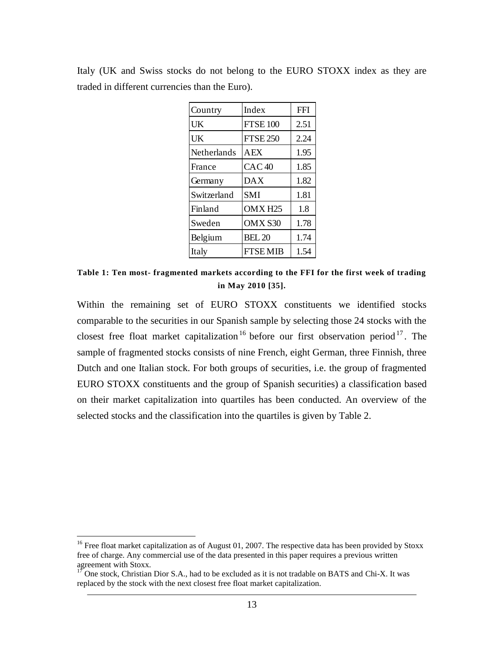| Country     | Index              | <b>FFI</b> |
|-------------|--------------------|------------|
| UK          | <b>FTSE 100</b>    | 2.51       |
| UK          | <b>FTSE 250</b>    | 2.24       |
| Netherlands | <b>AEX</b>         | 1.95       |
| France      | CAC40              | 1.85       |
| Germany     | <b>DAX</b>         | 1.82       |
| Switzerland | <b>SMI</b>         | 1.81       |
| Finland     | OMX <sub>H25</sub> | 1.8        |
| Sweden      | OMX S30            | 1.78       |
| Belgium     | <b>BEL 20</b>      | 1.74       |
| Italy       | <b>FTSEMIB</b>     | 1.54       |

Italy (UK and Swiss stocks do not belong to the EURO STOXX index as they are traded in different currencies than the Euro).

<span id="page-14-0"></span>**Table 1: Ten most- fragmented markets according to the FFI for the first week of trading in May 2010 [35].**

Within the remaining set of EURO STOXX constituents we identified stocks comparable to the securities in our Spanish sample by selecting those 24 stocks with the closest free float market capitalization<sup>16</sup> before our first observation period<sup>17</sup>. The sample of fragmented stocks consists of nine French, eight German, three Finnish, three Dutch and one Italian stock. For both groups of securities, i.e. the group of fragmented EURO STOXX constituents and the group of Spanish securities) a classification based on their market capitalization into quartiles has been conducted. An overview of the selected stocks and the classification into the quartiles is given by [Table 2.](#page-15-1)

 $\overline{a}$ 

<sup>&</sup>lt;sup>16</sup> Free float market capitalization as of August 01, 2007. The respective data has been provided by Stoxx free of charge. Any commercial use of the data presented in this paper requires a previous written agreement with Stoxx.

 $17$  One stock, Christian Dior S.A., had to be excluded as it is not tradable on BATS and Chi-X. It was replaced by the stock with the next closest free float market capitalization.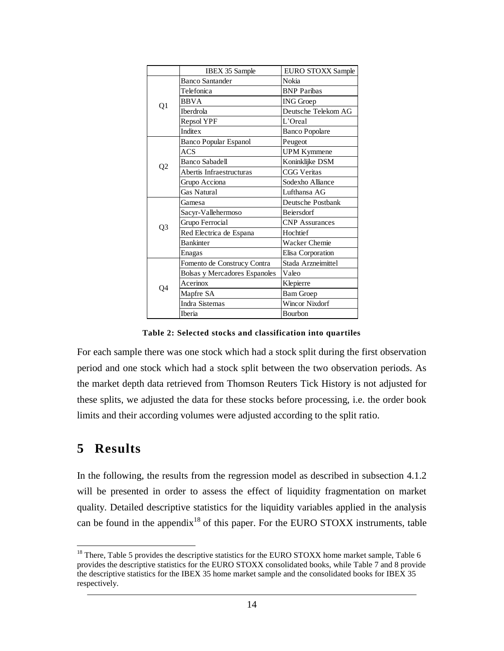|                | <b>IBEX 35 Sample</b>         | <b>EURO STOXX Sample</b> |
|----------------|-------------------------------|--------------------------|
|                | <b>Banco Santander</b>        | Nokia                    |
| Q1             | Telefonica                    | <b>BNP</b> Paribas       |
|                | <b>BBVA</b>                   | <b>ING</b> Groep         |
|                | <b>Iberdrola</b>              | Deutsche Telekom AG      |
|                | Repsol YPF                    | L'Oreal                  |
|                | Inditex                       | <b>Banco Popolare</b>    |
|                | <b>Banco Popular Espanol</b>  | Peugeot                  |
|                | <b>ACS</b>                    | <b>UPM Kymmene</b>       |
|                | <b>Banco Sabadell</b>         | Koninklijke DSM          |
| Q <sub>2</sub> | Abertis Infraestructuras      | <b>CGG Veritas</b>       |
|                | Grupo Acciona                 | Sodexho Alliance         |
|                | Gas Natural                   | Lufthansa AG             |
|                | Gamesa                        | Deutsche Postbank        |
|                | Sacyr-Vallehermoso            | <b>Beiersdorf</b>        |
| Q3             | Grupo Ferrocial               | <b>CNP</b> Assurances    |
|                | Red Electrica de Espana       | Hochtief                 |
|                | <b>Bankinter</b>              | <b>Wacker Chemie</b>     |
|                | Enagas                        | Elisa Corporation        |
|                | Fomento de Construcy Contra   | Stada Arzneimittel       |
|                | Bolsas y Mercadores Espanoles | Valeo                    |
| Q4             | Acerinox                      | Klepierre                |
|                | Mapfre SA                     | <b>Bam Groep</b>         |
|                | <b>Indra Sistemas</b>         | Wincor Nixdorf           |
|                | <b>Iberia</b>                 | <b>Bourbon</b>           |

**Table 2: Selected stocks and classification into quartiles**

<span id="page-15-1"></span>For each sample there was one stock which had a stock split during the first observation period and one stock which had a stock split between the two observation periods. As the market depth data retrieved from Thomson Reuters Tick History is not adjusted for these splits, we adjusted the data for these stocks before processing, i.e. the order book limits and their according volumes were adjusted according to the split ratio.

## <span id="page-15-0"></span>**5 Results**

 $\overline{a}$ 

In the following, the results from the regression model as described in subsection 4.1.2 will be presented in order to assess the effect of liquidity fragmentation on market quality. Detailed descriptive statistics for the liquidity variables applied in the analysis can be found in the appendix<sup>18</sup> of this paper. For the EURO STOXX instruments, table

 $18$  There, Table 5 provides the descriptive statistics for the EURO STOXX home market sample, Table 6 provides the descriptive statistics for the EURO STOXX consolidated books, while Table 7 and 8 provide the descriptive statistics for the IBEX 35 home market sample and the consolidated books for IBEX 35 respectively.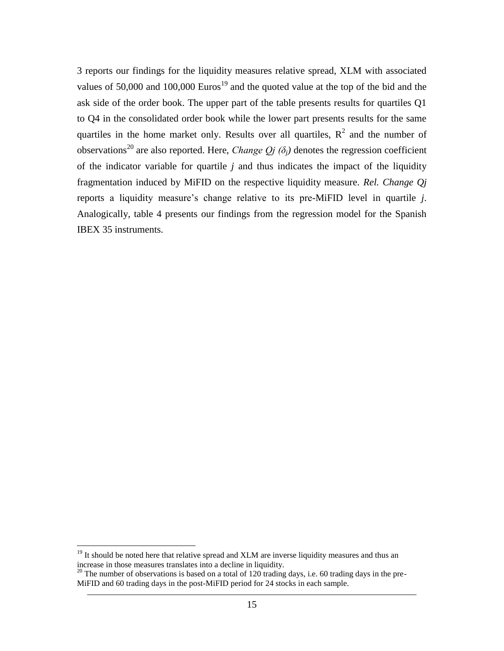3 reports our findings for the liquidity measures relative spread, XLM with associated values of 50,000 and 100,000 Euros<sup>19</sup> and the quoted value at the top of the bid and the ask side of the order book. The upper part of the table presents results for quartiles Q1 to Q4 in the consolidated order book while the lower part presents results for the same quartiles in the home market only. Results over all quartiles,  $R^2$  and the number of observations<sup>20</sup> are also reported. Here, *Change Qj* ( $\delta$ <sub>*j*</sub>) denotes the regression coefficient of the indicator variable for quartile *j* and thus indicates the impact of the liquidity fragmentation induced by MiFID on the respective liquidity measure. *Rel. Change Qj* reports a liquidity measure's change relative to its pre-MiFID level in quartile *j*. Analogically, table 4 presents our findings from the regression model for the Spanish IBEX 35 instruments.

 $\overline{a}$ 

 $19$  It should be noted here that relative spread and XLM are inverse liquidity measures and thus an increase in those measures translates into a decline in liquidity.

 $^{20}$  The number of observations is based on a total of 120 trading days, i.e. 60 trading days in the pre-MiFID and 60 trading days in the post-MiFID period for 24 stocks in each sample.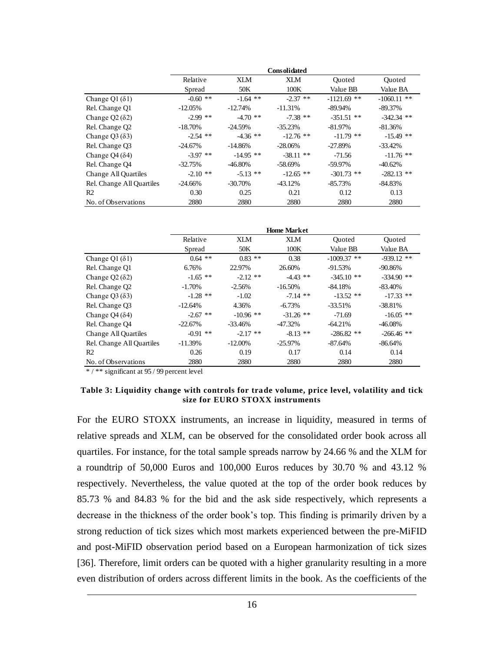|                             |            |             | <b>Consolidated</b> |               |               |
|-----------------------------|------------|-------------|---------------------|---------------|---------------|
|                             | Relative   | XI M        | XI M                | Ouoted        | Ouoted        |
|                             | Spread     | 50K         | 100K                | Value BB      | Value BA      |
| Change Q1 $(\delta$ 1)      | $-0.60**$  | $-1.64$ **  | $-2.37$ **          | $-1121.69$ ** | $-1060.11$ ** |
| Rel. Change Q1              | $-12.05\%$ | $-12.74%$   | $-11.31%$           | $-89.94\%$    | $-89.37\%$    |
| Change $Q2(82)$             | $-2.99$ ** | $-4.70$ **  | $-7.38$ **          | $-351.51$ **  | $-342.34$ **  |
| Rel. Change Q2              | $-18.70\%$ | $-24.59%$   | $-35.23%$           | $-81.97\%$    | $-81.36%$     |
| Change $Q3($ $\delta$ 3 $)$ | $-2.54$ ** | $-4.36$ **  | $-12.76$ **         | $-11.79$ **   | $-15.49$ **   |
| Rel. Change Q3              | $-24.67\%$ | $-14.86%$   | $-28.06\%$          | $-27.89%$     | $-33.42\%$    |
| Change $Q_4(\delta_4)$      | $-3.97$ ** | $-14.95$ ** | $-38.11$ **         | $-71.56$      | $-11.76$ **   |
| Rel. Change Q4              | $-32.75%$  | $-46.80\%$  | $-58.69%$           | $-59.97\%$    | $-40.62%$     |
| Change All Quartiles        | $-2.10$ ** | $-5.13$ **  | $-12.65$ **         | $-301.73$ **  | $-282.13$ **  |
| Rel. Change All Quartiles   | $-24.66\%$ | $-30.70\%$  | $-43.12%$           | $-85.73%$     | $-84.83%$     |
| R <sub>2</sub>              | 0.30       | 0.25        | 0.21                | 0.12          | 0.13          |
| No. of Observations         | 2880       | 2880        | 2880                | 2880          | 2880          |

|                           |            |             | <b>Home Market</b> |               |               |
|---------------------------|------------|-------------|--------------------|---------------|---------------|
|                           | Relative   | XI M        | XLM                | Ouoted        | <b>Ouoted</b> |
|                           | Spread     | 50K         | 100K               | Value BB      | Value BA      |
| Change Q1 $(\delta$ 1)    | $0.64$ **  | $0.83$ **   | 0.38               | $-1009.37$ ** | $-939.12$ **  |
| Rel. Change Q1            | 6.76%      | 22.97%      | 26.60%             | $-91.53%$     | $-90.86%$     |
| Change $Q2(82)$           | $-1.65$ ** | $-2.12$ **  | $-4.43$ **         | $-345.10$ **  | $-334.90$ **  |
| Rel. Change Q2            | $-1.70%$   | $-2.56%$    | $-16.50%$          | $-84.18%$     | $-83.40%$     |
| Change $Q3(83)$           | $-1.28$ ** | $-1.02$     | $-7.14$ **         | $-13.52$ **   | $-17.33$ **   |
| Rel. Change Q3            | $-12.64%$  | 4.36%       | $-6.73%$           | $-33.51\%$    | $-38.81%$     |
| Change $Q_4(\delta_4)$    | $-2.67$ ** | $-10.96$ ** | $-31.26$ **        | $-71.69$      | $-16.05$ **   |
| Rel. Change Q4            | $-22.67\%$ | $-33.46%$   | $-47.32%$          | $-64.21%$     | $-46.08\%$    |
| Change All Quartiles      | $-0.91$ ** | $-2.17$ **  | $-8.13$ **         | $-286.82$ **  | $-266.46$ **  |
| Rel. Change All Quartiles | $-11.39\%$ | $-12.00\%$  | $-25.97\%$         | $-87.64%$     | $-86.64%$     |
| R <sub>2</sub>            | 0.26       | 0.19        | 0.17               | 0.14          | 0.14          |
| No. of Observations       | 2880       | 2880        | 2880               | 2880          | 2880          |

\* / \*\* significant at 95 / 99 percent level

#### **Table 3: Liquidity change with controls for trade volume, price level, volatility and tick size for EURO STOXX instruments**

For the EURO STOXX instruments, an increase in liquidity, measured in terms of relative spreads and XLM, can be observed for the consolidated order book across all quartiles. For instance, for the total sample spreads narrow by 24.66 % and the XLM for a roundtrip of 50,000 Euros and 100,000 Euros reduces by 30.70 % and 43.12 % respectively. Nevertheless, the value quoted at the top of the order book reduces by 85.73 % and 84.83 % for the bid and the ask side respectively, which represents a decrease in the thickness of the order book's top. This finding is primarily driven by a strong reduction of tick sizes which most markets experienced between the pre-MiFID and post-MiFID observation period based on a European harmonization of tick sizes [36]. Therefore, limit orders can be quoted with a higher granularity resulting in a more even distribution of orders across different limits in the book. As the coefficients of the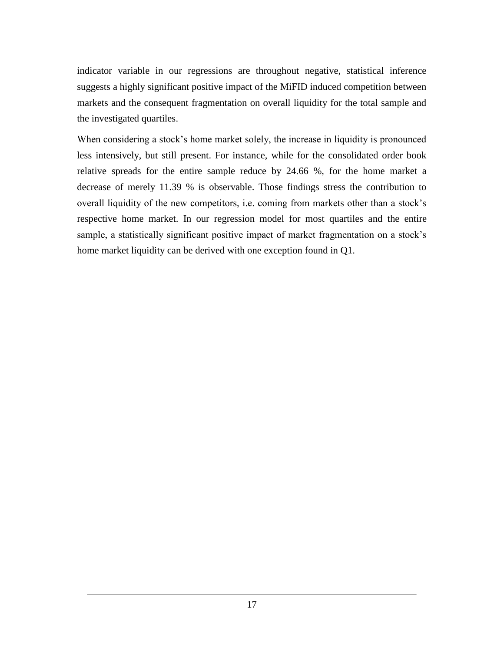indicator variable in our regressions are throughout negative, statistical inference suggests a highly significant positive impact of the MiFID induced competition between markets and the consequent fragmentation on overall liquidity for the total sample and the investigated quartiles.

When considering a stock's home market solely, the increase in liquidity is pronounced less intensively, but still present. For instance, while for the consolidated order book relative spreads for the entire sample reduce by 24.66 %, for the home market a decrease of merely 11.39 % is observable. Those findings stress the contribution to overall liquidity of the new competitors, i.e. coming from markets other than a stock's respective home market. In our regression model for most quartiles and the entire sample, a statistically significant positive impact of market fragmentation on a stock's home market liquidity can be derived with one exception found in Q1.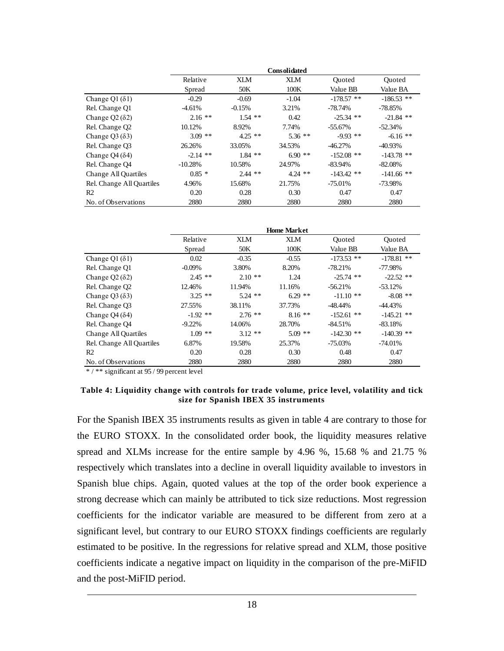|                              |            |           | <b>Consolidated</b> |              |              |
|------------------------------|------------|-----------|---------------------|--------------|--------------|
|                              | Relative   | XLM       | XLM                 | Ouoted       | Ouoted       |
|                              | Spread     | 50K       | 100K                | Value BB     | Value BA     |
| Change Q1 $(\delta$ 1)       | $-0.29$    | $-0.69$   | $-1.04$             | $-178.57$ ** | $-186.53$ ** |
| Rel. Change Q1               | $-4.61%$   | $-0.15%$  | 3.21%               | $-78.74%$    | -78.85%      |
| Change $Q2(82)$              | $2.16$ **  | $1.54$ ** | 0.42                | $-25.34$ **  | $-21.84$ **  |
| Rel. Change Q2               | 10.12%     | 8.92%     | 7.74%               | $-55.67\%$   | $-52.34%$    |
| Change $Q3(83)$              | $3.09$ **  | $4.25$ ** | $5.36$ **           | $-9.93$ **   | $-6.16$ **   |
| Rel. Change Q3               | 26.26%     | 33.05%    | 34.53%              | $-46.27%$    | $-40.93\%$   |
| Change Q4 $($ $\delta$ 4 $)$ | $-2.14$ ** | $1.84$ ** | $6.90**$            | $-152.08$ ** | $-143.78$ ** |
| Rel. Change Q4               | $-10.28%$  | 10.58%    | 24.97%              | $-83.94\%$   | $-82.08%$    |
| Change All Quartiles         | $0.85*$    | $2.44$ ** | $4.24$ **           | $-143.42$ ** | $-141.66$ ** |
| Rel. Change All Quartiles    | 4.96%      | 15.68%    | 21.75%              | $-75.01\%$   | -73.98%      |
| R <sub>2</sub>               | 0.20       | 0.28      | 0.30                | 0.47         | 0.47         |
| No. of Observations          | 2880       | 2880      | 2880                | 2880         | 2880         |

|                           |            |           | <b>Home Market</b> |              |               |
|---------------------------|------------|-----------|--------------------|--------------|---------------|
|                           | Relative   | XI M      | XLM                | Ouoted       | <b>Ouoted</b> |
|                           | Spread     | 50K       | 100K               | Value BB     | Value BA      |
| Change Q1 $(δ1)$          | 0.02       | $-0.35$   | $-0.55$            | $-173.53$ ** | $-178.81$ **  |
| Rel. Change Q1            | $-0.09\%$  | 3.80%     | 8.20%              | $-78.21%$    | -77.98%       |
| Change $Q2(82)$           | $2.45**$   | $2.10**$  | 1.24               | $-25.74$ **  | $-22.52$ **   |
| Rel. Change Q2            | 12.46%     | 11.94%    | 11.16%             | $-56.21%$    | $-53.12%$     |
| Change $Q3(83)$           | $3.25$ **  | $5.24$ ** | $6.29$ **          | $-11.10$ **  | $-8.08$ **    |
| Rel. Change Q3            | 27.55%     | 38.11%    | 37.73%             | $-48.44%$    | $-44.43%$     |
| Change $Q_4(\delta_4)$    | $-1.92$ ** | $2.76$ ** | $8.16**$           | $-152.61$ ** | $-145.21$ **  |
| Rel. Change Q4            | $-9.22\%$  | 14.06%    | 28.70%             | $-84.51%$    | $-83.18%$     |
| Change All Quartiles      | $1.09$ **  | $3.12**$  | $5.09$ **          | $-142.30$ ** | $-140.39$ **  |
| Rel. Change All Quartiles | 6.87%      | 19.58%    | 25.37%             | $-75.03\%$   | $-74.01%$     |
| R <sub>2</sub>            | 0.20       | 0.28      | 0.30               | 0.48         | 0.47          |
| No. of Observations       | 2880       | 2880      | 2880               | 2880         | 2880          |

\* / \*\* significant at 95 / 99 percent level

#### **Table 4: Liquidity change with controls for trade volume, price level, volatility and tick size for Spanish IBEX 35 instruments**

For the Spanish IBEX 35 instruments results as given in table 4 are contrary to those for the EURO STOXX. In the consolidated order book, the liquidity measures relative spread and XLMs increase for the entire sample by 4.96 %, 15.68 % and 21.75 % respectively which translates into a decline in overall liquidity available to investors in Spanish blue chips. Again, quoted values at the top of the order book experience a strong decrease which can mainly be attributed to tick size reductions. Most regression coefficients for the indicator variable are measured to be different from zero at a significant level, but contrary to our EURO STOXX findings coefficients are regularly estimated to be positive. In the regressions for relative spread and XLM, those positive coefficients indicate a negative impact on liquidity in the comparison of the pre-MiFID and the post-MiFID period.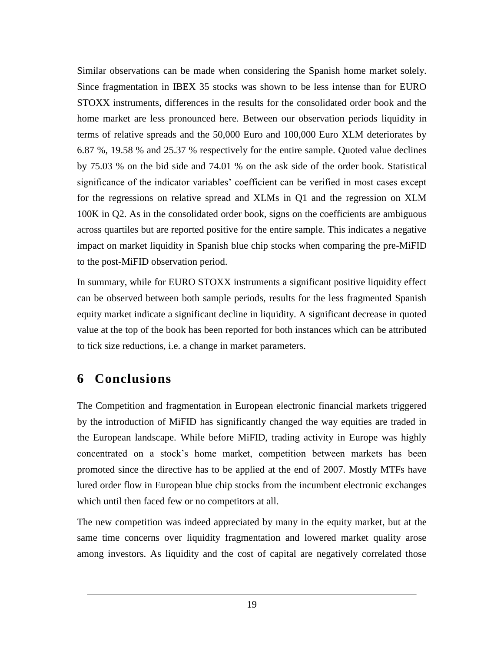Similar observations can be made when considering the Spanish home market solely. Since fragmentation in IBEX 35 stocks was shown to be less intense than for EURO STOXX instruments, differences in the results for the consolidated order book and the home market are less pronounced here. Between our observation periods liquidity in terms of relative spreads and the 50,000 Euro and 100,000 Euro XLM deteriorates by 6.87 %, 19.58 % and 25.37 % respectively for the entire sample. Quoted value declines by 75.03 % on the bid side and 74.01 % on the ask side of the order book. Statistical significance of the indicator variables' coefficient can be verified in most cases except for the regressions on relative spread and XLMs in Q1 and the regression on XLM 100K in Q2. As in the consolidated order book, signs on the coefficients are ambiguous across quartiles but are reported positive for the entire sample. This indicates a negative impact on market liquidity in Spanish blue chip stocks when comparing the pre-MiFID to the post-MiFID observation period.

In summary, while for EURO STOXX instruments a significant positive liquidity effect can be observed between both sample periods, results for the less fragmented Spanish equity market indicate a significant decline in liquidity. A significant decrease in quoted value at the top of the book has been reported for both instances which can be attributed to tick size reductions, i.e. a change in market parameters.

## **6 Conclusions**

The Competition and fragmentation in European electronic financial markets triggered by the introduction of MiFID has significantly changed the way equities are traded in the European landscape. While before MiFID, trading activity in Europe was highly concentrated on a stock's home market, competition between markets has been promoted since the directive has to be applied at the end of 2007. Mostly MTFs have lured order flow in European blue chip stocks from the incumbent electronic exchanges which until then faced few or no competitors at all.

The new competition was indeed appreciated by many in the equity market, but at the same time concerns over liquidity fragmentation and lowered market quality arose among investors. As liquidity and the cost of capital are negatively correlated those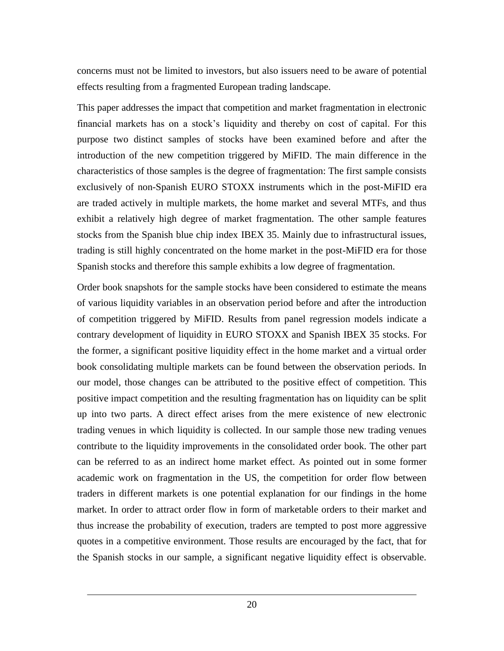concerns must not be limited to investors, but also issuers need to be aware of potential effects resulting from a fragmented European trading landscape.

This paper addresses the impact that competition and market fragmentation in electronic financial markets has on a stock's liquidity and thereby on cost of capital. For this purpose two distinct samples of stocks have been examined before and after the introduction of the new competition triggered by MiFID. The main difference in the characteristics of those samples is the degree of fragmentation: The first sample consists exclusively of non-Spanish EURO STOXX instruments which in the post-MiFID era are traded actively in multiple markets, the home market and several MTFs, and thus exhibit a relatively high degree of market fragmentation. The other sample features stocks from the Spanish blue chip index IBEX 35. Mainly due to infrastructural issues, trading is still highly concentrated on the home market in the post-MiFID era for those Spanish stocks and therefore this sample exhibits a low degree of fragmentation.

Order book snapshots for the sample stocks have been considered to estimate the means of various liquidity variables in an observation period before and after the introduction of competition triggered by MiFID. Results from panel regression models indicate a contrary development of liquidity in EURO STOXX and Spanish IBEX 35 stocks. For the former, a significant positive liquidity effect in the home market and a virtual order book consolidating multiple markets can be found between the observation periods. In our model, those changes can be attributed to the positive effect of competition. This positive impact competition and the resulting fragmentation has on liquidity can be split up into two parts. A direct effect arises from the mere existence of new electronic trading venues in which liquidity is collected. In our sample those new trading venues contribute to the liquidity improvements in the consolidated order book. The other part can be referred to as an indirect home market effect. As pointed out in some former academic work on fragmentation in the US, the competition for order flow between traders in different markets is one potential explanation for our findings in the home market. In order to attract order flow in form of marketable orders to their market and thus increase the probability of execution, traders are tempted to post more aggressive quotes in a competitive environment. Those results are encouraged by the fact, that for the Spanish stocks in our sample, a significant negative liquidity effect is observable.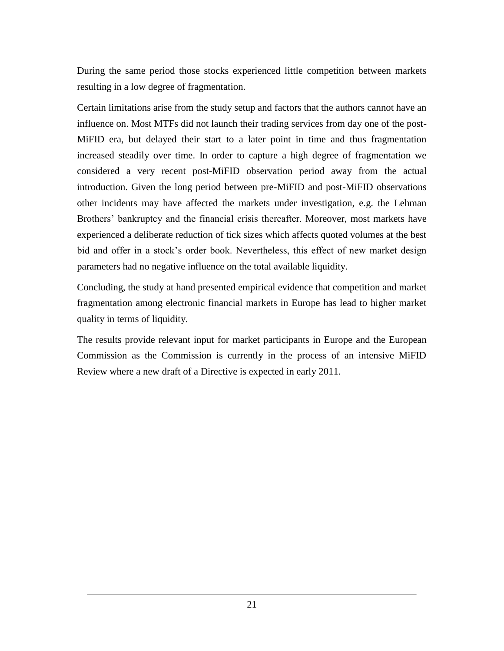During the same period those stocks experienced little competition between markets resulting in a low degree of fragmentation.

Certain limitations arise from the study setup and factors that the authors cannot have an influence on. Most MTFs did not launch their trading services from day one of the post-MiFID era, but delayed their start to a later point in time and thus fragmentation increased steadily over time. In order to capture a high degree of fragmentation we considered a very recent post-MiFID observation period away from the actual introduction. Given the long period between pre-MiFID and post-MiFID observations other incidents may have affected the markets under investigation, e.g. the Lehman Brothers' bankruptcy and the financial crisis thereafter. Moreover, most markets have experienced a deliberate reduction of tick sizes which affects quoted volumes at the best bid and offer in a stock's order book. Nevertheless, this effect of new market design parameters had no negative influence on the total available liquidity.

Concluding, the study at hand presented empirical evidence that competition and market fragmentation among electronic financial markets in Europe has lead to higher market quality in terms of liquidity.

The results provide relevant input for market participants in Europe and the European Commission as the Commission is currently in the process of an intensive MiFID Review where a new draft of a Directive is expected in early 2011.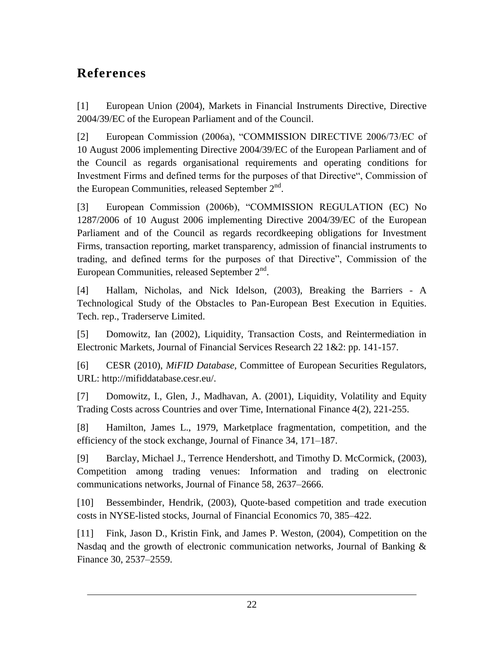## **References**

[1] European Union (2004), Markets in Financial Instruments Directive, Directive 2004/39/EC of the European Parliament and of the Council.

[2] European Commission (2006a), "COMMISSION DIRECTIVE 2006/73/EC of 10 August 2006 implementing Directive 2004/39/EC of the European Parliament and of the Council as regards organisational requirements and operating conditions for Investment Firms and defined terms for the purposes of that Directive", Commission of the European Communities, released September  $2<sup>nd</sup>$ .

[3] European Commission (2006b), "COMMISSION REGULATION (EC) No 1287/2006 of 10 August 2006 implementing Directive 2004/39/EC of the European Parliament and of the Council as regards recordkeeping obligations for Investment Firms, transaction reporting, market transparency, admission of financial instruments to trading, and defined terms for the purposes of that Directive", Commission of the European Communities, released September  $2<sup>nd</sup>$ .

[4] Hallam, Nicholas, and Nick Idelson, (2003), Breaking the Barriers - A Technological Study of the Obstacles to Pan-European Best Execution in Equities. Tech. rep., Traderserve Limited.

[5] Domowitz, Ian (2002), Liquidity, Transaction Costs, and Reintermediation in Electronic Markets, Journal of Financial Services Research 22 1&2: pp. 141-157.

[6] CESR (2010), *MiFID Database*, Committee of European Securities Regulators, URL: http://mifiddatabase.cesr.eu/.

[7] Domowitz, I., Glen, J., Madhavan, A. (2001), Liquidity, Volatility and Equity Trading Costs across Countries and over Time, International Finance 4(2), 221-255.

[8] Hamilton, James L., 1979, Marketplace fragmentation, competition, and the efficiency of the stock exchange, Journal of Finance 34, 171–187.

[9] Barclay, Michael J., Terrence Hendershott, and Timothy D. McCormick, (2003), Competition among trading venues: Information and trading on electronic communications networks, Journal of Finance 58, 2637–2666.

[10] Bessembinder, Hendrik, (2003), Quote-based competition and trade execution costs in NYSE-listed stocks, Journal of Financial Economics 70, 385–422.

[11] Fink, Jason D., Kristin Fink, and James P. Weston, (2004), Competition on the Nasdaq and the growth of electronic communication networks, Journal of Banking & Finance 30, 2537–2559.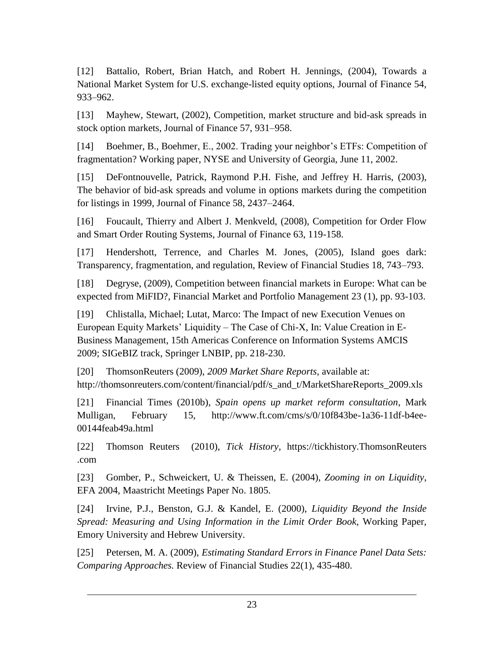[12] Battalio, Robert, Brian Hatch, and Robert H. Jennings, (2004), Towards a National Market System for U.S. exchange-listed equity options, Journal of Finance 54, 933–962.

[13] Mayhew, Stewart, (2002), Competition, market structure and bid-ask spreads in stock option markets, Journal of Finance 57, 931–958.

[14] Boehmer, B., Boehmer, E., 2002. Trading your neighbor's ETFs: Competition of fragmentation? Working paper, NYSE and University of Georgia, June 11, 2002.

[15] DeFontnouvelle, Patrick, Raymond P.H. Fishe, and Jeffrey H. Harris, (2003), The behavior of bid-ask spreads and volume in options markets during the competition for listings in 1999, Journal of Finance 58, 2437–2464.

[16] Foucault, Thierry and Albert J. Menkveld, (2008), Competition for Order Flow and Smart Order Routing Systems, Journal of Finance 63, 119-158.

[17] Hendershott, Terrence, and Charles M. Jones, (2005), Island goes dark: Transparency, fragmentation, and regulation, Review of Financial Studies 18, 743–793.

[18] Degryse, (2009), Competition between financial markets in Europe: What can be expected from MiFID?, Financial Market and Portfolio Management 23 (1), pp. 93-103.

[19] Chlistalla, Michael; Lutat, Marco: The Impact of new Execution Venues on European Equity Markets' Liquidity – The Case of Chi-X, In: Value Creation in E-Business Management, 15th Americas Conference on Information Systems AMCIS 2009; SIGeBIZ track, Springer LNBIP, pp. 218-230.

[20] ThomsonReuters (2009), *2009 Market Share Reports*, available at: http://thomsonreuters.com/content/financial/pdf/s\_and\_t/MarketShareReports\_2009.xls

[21] Financial Times (2010b), *Spain opens up market reform consultation*, Mark Mulligan, February 15, http://www.ft.com/cms/s/0/10f843be-1a36-11df-b4ee-00144feab49a.html

[22] Thomson Reuters (2010), *Tick History*, https://tickhistory.ThomsonReuters .com

[23] Gomber, P., Schweickert, U. & Theissen, E. (2004), *Zooming in on Liquidity*, EFA 2004, Maastricht Meetings Paper No. 1805.

[24] Irvine, P.J., Benston, G.J. & Kandel, E. (2000), *Liquidity Beyond the Inside Spread: Measuring and Using Information in the Limit Order Book*, Working Paper, Emory University and Hebrew University.

[25] Petersen, M. A. (2009), *Estimating Standard Errors in Finance Panel Data Sets: Comparing Approaches.* Review of Financial Studies 22(1), 435-480.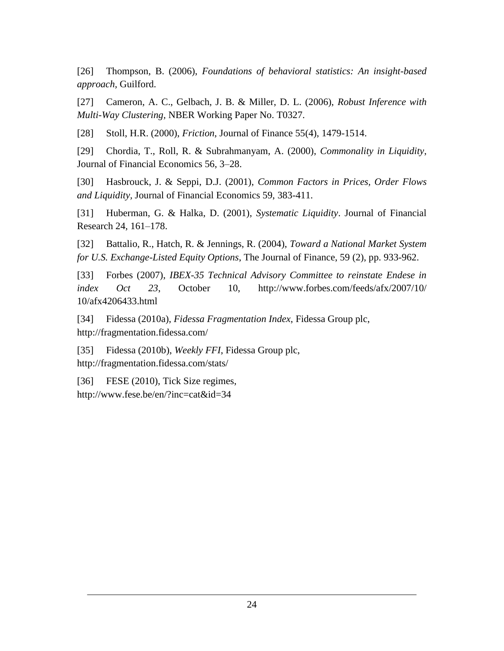[26] Thompson, B. (2006), *Foundations of behavioral statistics: An insight-based approach,* Guilford.

[27] Cameron, A. C., Gelbach, J. B. & Miller, D. L. (2006), *Robust Inference with Multi-Way Clustering,* NBER Working Paper No. T0327.

[28] Stoll, H.R. (2000), *Friction*, Journal of Finance 55(4), 1479-1514.

[29] Chordia, T., Roll, R. & Subrahmanyam, A. (2000), *Commonality in Liquidity*, Journal of Financial Economics 56, 3–28.

[30] Hasbrouck, J. & Seppi, D.J. (2001), *Common Factors in Prices, Order Flows and Liquidity,* Journal of Financial Economics 59, 383-411.

[31] Huberman, G. & Halka, D. (2001), *Systematic Liquidity*. Journal of Financial Research 24, 161–178.

[32] Battalio, R., Hatch, R. & Jennings, R. (2004), *Toward a National Market System for U.S. Exchange-Listed Equity Options*, The Journal of Finance, 59 (2), pp. 933-962.

[33] Forbes (2007), *IBEX-35 Technical Advisory Committee to reinstate Endese in index Oct 23*, October 10, http://www.forbes.com/feeds/afx/2007/10/ 10/afx4206433.html

[34] Fidessa (2010a), *Fidessa Fragmentation Index*, Fidessa Group plc, http://fragmentation.fidessa.com/

[35] Fidessa (2010b), *Weekly FFI*, Fidessa Group plc, http://fragmentation.fidessa.com/stats/

[36] FESE (2010), Tick Size regimes, http://www.fese.be/en/?inc=cat&id=34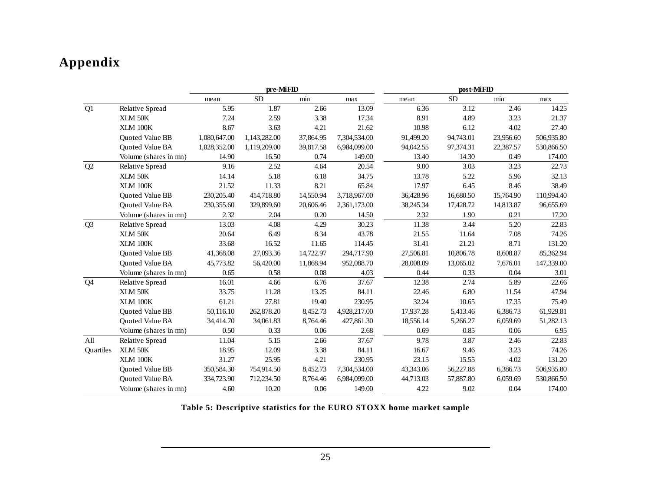## **Appendix**

|                |                        |              | pre-MiFID    |           |              |           | post-MiFID |           |            |
|----------------|------------------------|--------------|--------------|-----------|--------------|-----------|------------|-----------|------------|
|                |                        | mean         | <b>SD</b>    | min       | max          | mean      | <b>SD</b>  | min       | max        |
| Q1             | <b>Relative Spread</b> | 5.95         | 1.87         | 2.66      | 13.09        | 6.36      | 3.12       | 2.46      | 14.25      |
|                | XLM 50K                | 7.24         | 2.59         | 3.38      | 17.34        | 8.91      | 4.89       | 3.23      | 21.37      |
|                | XLM 100K               | 8.67         | 3.63         | 4.21      | 21.62        | 10.98     | 6.12       | 4.02      | 27.40      |
|                | <b>Ouoted Value BB</b> | 1,080,647.00 | 1,143,282.00 | 37,864.95 | 7,304,534.00 | 91,499.20 | 94,743.01  | 23,956.60 | 506,935.80 |
|                | Quoted Value BA        | 1,028,352.00 | 1,119,209.00 | 39,817.58 | 6,984,099.00 | 94,042.55 | 97,374.31  | 22,387.57 | 530,866.50 |
|                | Volume (shares in mn)  | 14.90        | 16.50        | 0.74      | 149.00       | 13.40     | 14.30      | 0.49      | 174.00     |
| Q2             | <b>Relative Spread</b> | 9.16         | 2.52         | 4.64      | 20.54        | 9.00      | 3.03       | 3.23      | 22.73      |
|                | XLM 50K                | 14.14        | 5.18         | 6.18      | 34.75        | 13.78     | 5.22       | 5.96      | 32.13      |
|                | <b>XLM 100K</b>        | 21.52        | 11.33        | 8.21      | 65.84        | 17.97     | 6.45       | 8.46      | 38.49      |
|                | Quoted Value BB        | 230, 205.40  | 414,718.80   | 14,550.94 | 3,718,967.00 | 36,428.96 | 16,680.50  | 15,764.90 | 110,994.40 |
|                | Quoted Value BA        | 230,355.60   | 329,899.60   | 20,606.46 | 2,361,173.00 | 38,245.34 | 17,428.72  | 14,813.87 | 96,655.69  |
|                | Volume (shares in mn)  | 2.32         | 2.04         | 0.20      | 14.50        | 2.32      | 1.90       | 0.21      | 17.20      |
| Q <sub>3</sub> | Relative Spread        | 13.03        | 4.08         | 4.29      | 30.23        | 11.38     | 3.44       | 5.20      | 22.83      |
|                | XLM 50K                | 20.64        | 6.49         | 8.34      | 43.78        | 21.55     | 11.64      | 7.08      | 74.26      |
|                | <b>XLM 100K</b>        | 33.68        | 16.52        | 11.65     | 114.45       | 31.41     | 21.21      | 8.71      | 131.20     |
|                | <b>Ouoted Value BB</b> | 41,368.08    | 27,093.36    | 14,722.97 | 294,717.90   | 27,506.81 | 10,806.78  | 8,608.87  | 85,362.94  |
|                | <b>Ouoted Value BA</b> | 45,773.82    | 56,420.00    | 11,868.94 | 952,088.70   | 28,008.09 | 13,065.02  | 7,676.01  | 147,339.00 |
|                | Volume (shares in mn)  | 0.65         | 0.58         | 0.08      | 4.03         | 0.44      | 0.33       | 0.04      | 3.01       |
| Q <sub>4</sub> | <b>Relative Spread</b> | 16.01        | 4.66         | 6.76      | 37.67        | 12.38     | 2.74       | 5.89      | 22.66      |
|                | XLM 50K                | 33.75        | 11.28        | 13.25     | 84.11        | 22.46     | 6.80       | 11.54     | 47.94      |
|                | <b>XLM 100K</b>        | 61.21        | 27.81        | 19.40     | 230.95       | 32.24     | 10.65      | 17.35     | 75.49      |
|                | Quoted Value BB        | 50,116.10    | 262,878.20   | 8,452.73  | 4,928,217.00 | 17,937.28 | 5,413.46   | 6,386.73  | 61,929.81  |
|                | Quoted Value BA        | 34,414.70    | 34,061.83    | 8,764.46  | 427,861.30   | 18,556.14 | 5,266.27   | 6,059.69  | 51,282.13  |
|                | Volume (shares in mn)  | 0.50         | 0.33         | 0.06      | 2.68         | 0.69      | 0.85       | 0.06      | 6.95       |
| All            | Relative Spread        | 11.04        | 5.15         | 2.66      | 37.67        | 9.78      | 3.87       | 2.46      | 22.83      |
| Quartiles      | XLM 50K                | 18.95        | 12.09        | 3.38      | 84.11        | 16.67     | 9.46       | 3.23      | 74.26      |
|                | XLM 100K               | 31.27        | 25.95        | 4.21      | 230.95       | 23.15     | 15.55      | 4.02      | 131.20     |
|                | Quoted Value BB        | 350,584.30   | 754,914.50   | 8,452.73  | 7,304,534.00 | 43,343.06 | 56,227.88  | 6,386.73  | 506,935.80 |
|                | Quoted Value BA        | 334,723.90   | 712,234.50   | 8,764.46  | 6,984,099.00 | 44,713.03 | 57,887.80  | 6,059.69  | 530,866.50 |
|                | Volume (shares in mn)  | 4.60         | 10.20        | 0.06      | 149.00       | 4.22      | 9.02       | 0.04      | 174.00     |

**Table 5: Descriptive statistics for the EURO STOXX home market sample**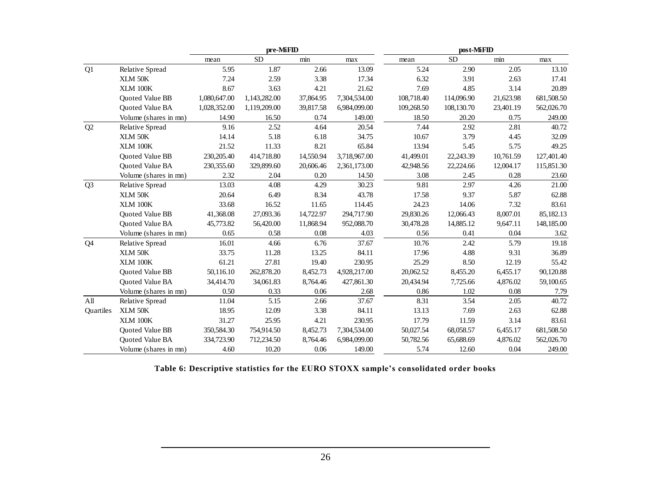|                  |                        |              | pre-MiFID    |           |              | post-MiFID |            |           |            |
|------------------|------------------------|--------------|--------------|-----------|--------------|------------|------------|-----------|------------|
|                  |                        | mean         | <b>SD</b>    | min       | max          | mean       | <b>SD</b>  | min       | max        |
| Q1               | Relative Spread        | 5.95         | 1.87         | 2.66      | 13.09        | 5.24       | 2.90       | 2.05      | 13.10      |
|                  | XLM 50K                | 7.24         | 2.59         | 3.38      | 17.34        | 6.32       | 3.91       | 2.63      | 17.41      |
|                  | XLM 100K               | 8.67         | 3.63         | 4.21      | 21.62        | 7.69       | 4.85       | 3.14      | 20.89      |
|                  | Quoted Value BB        | 1,080,647.00 | 1,143,282.00 | 37,864.95 | 7,304,534.00 | 108,718.40 | 114,096.90 | 21,623.98 | 681,508.50 |
|                  | <b>Ouoted Value BA</b> | 1,028,352.00 | 1,119,209.00 | 39,817.58 | 6,984,099.00 | 109,268.50 | 108,130.70 | 23,401.19 | 562,026.70 |
|                  | Volume (shares in mn)  | 14.90        | 16.50        | 0.74      | 149.00       | 18.50      | 20.20      | 0.75      | 249.00     |
| Q2               | Relative Spread        | 9.16         | 2.52         | 4.64      | 20.54        | 7.44       | 2.92       | 2.81      | 40.72      |
|                  | XLM 50K                | 14.14        | 5.18         | 6.18      | 34.75        | 10.67      | 3.79       | 4.45      | 32.09      |
|                  | XLM 100K               | 21.52        | 11.33        | 8.21      | 65.84        | 13.94      | 5.45       | 5.75      | 49.25      |
|                  | Quoted Value BB        | 230, 205.40  | 414,718.80   | 14,550.94 | 3,718,967.00 | 41,499.01  | 22,243.39  | 10,761.59 | 127,401.40 |
|                  | <b>Ouoted Value BA</b> | 230,355.60   | 329,899.60   | 20,606.46 | 2,361,173.00 | 42,948.56  | 22,224.66  | 12,004.17 | 115,851.30 |
|                  | Volume (shares in mn)  | 2.32         | 2.04         | 0.20      | 14.50        | 3.08       | 2.45       | 0.28      | 23.60      |
| Q <sub>3</sub>   | Relative Spread        | 13.03        | 4.08         | 4.29      | 30.23        | 9.81       | 2.97       | 4.26      | 21.00      |
|                  | XLM 50K                | 20.64        | 6.49         | 8.34      | 43.78        | 17.58      | 9.37       | 5.87      | 62.88      |
|                  | XLM 100K               | 33.68        | 16.52        | 11.65     | 114.45       | 24.23      | 14.06      | 7.32      | 83.61      |
|                  | Quoted Value BB        | 41,368.08    | 27,093.36    | 14,722.97 | 294,717.90   | 29,830.26  | 12,066.43  | 8,007.01  | 85,182.13  |
|                  | Quoted Value BA        | 45,773.82    | 56,420.00    | 11,868.94 | 952,088.70   | 30,478.28  | 14,885.12  | 9,647.11  | 148,185.00 |
|                  | Volume (shares in mn)  | 0.65         | 0.58         | 0.08      | 4.03         | 0.56       | 0.41       | 0.04      | 3.62       |
| Q <sub>4</sub>   | <b>Relative Spread</b> | 16.01        | 4.66         | 6.76      | 37.67        | 10.76      | 2.42       | 5.79      | 19.18      |
|                  | XLM 50K                | 33.75        | 11.28        | 13.25     | 84.11        | 17.96      | 4.88       | 9.31      | 36.89      |
|                  | <b>XLM 100K</b>        | 61.21        | 27.81        | 19.40     | 230.95       | 25.29      | 8.50       | 12.19     | 55.42      |
|                  | Quoted Value BB        | 50,116.10    | 262,878.20   | 8,452.73  | 4,928,217.00 | 20,062.52  | 8,455.20   | 6,455.17  | 90,120.88  |
|                  | Quoted Value BA        | 34,414.70    | 34,061.83    | 8,764.46  | 427,861.30   | 20,434.94  | 7,725.66   | 4,876.02  | 59,100.65  |
|                  | Volume (shares in mn)  | 0.50         | 0.33         | 0.06      | 2.68         | 0.86       | 1.02       | 0.08      | 7.79       |
| All              | <b>Relative Spread</b> | 11.04        | 5.15         | 2.66      | 37.67        | 8.31       | 3.54       | 2.05      | 40.72      |
| <b>Ouartiles</b> | XLM 50K                | 18.95        | 12.09        | 3.38      | 84.11        | 13.13      | 7.69       | 2.63      | 62.88      |
|                  | <b>XLM 100K</b>        | 31.27        | 25.95        | 4.21      | 230.95       | 17.79      | 11.59      | 3.14      | 83.61      |
|                  | Quoted Value BB        | 350,584.30   | 754,914.50   | 8,452.73  | 7,304,534.00 | 50,027.54  | 68,058.57  | 6,455.17  | 681,508.50 |
|                  | Quoted Value BA        | 334,723.90   | 712,234.50   | 8,764.46  | 6,984,099.00 | 50,782.56  | 65,688.69  | 4,876.02  | 562,026.70 |
|                  | Volume (shares in mn)  | 4.60         | 10.20        | 0.06      | 149.00       | 5.74       | 12.60      | 0.04      | 249.00     |

**Table 6: Descriptive statistics for the EURO STOXX sample's consolidated order books**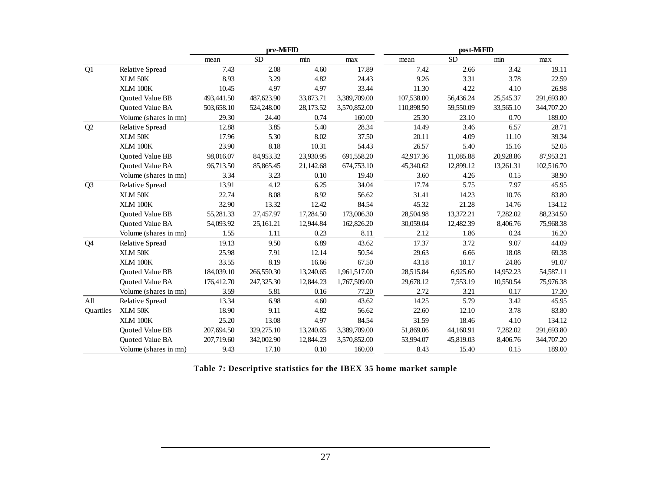|                  |                        |            | pre-MiFID  |           |              |            | post-MiFID |           |            |
|------------------|------------------------|------------|------------|-----------|--------------|------------|------------|-----------|------------|
|                  |                        | mean       | <b>SD</b>  | min       | max          | mean       | <b>SD</b>  | min       | max        |
| Q1               | Relative Spread        | 7.43       | 2.08       | 4.60      | 17.89        | 7.42       | 2.66       | 3.42      | 19.11      |
|                  | XLM 50K                | 8.93       | 3.29       | 4.82      | 24.43        | 9.26       | 3.31       | 3.78      | 22.59      |
|                  | <b>XLM 100K</b>        | 10.45      | 4.97       | 4.97      | 33.44        | 11.30      | 4.22       | 4.10      | 26.98      |
|                  | Quoted Value BB        | 493,441.50 | 487,623.90 | 33,873.71 | 3,389,709.00 | 107,538.00 | 56,436.24  | 25,545.37 | 291,693.80 |
|                  | Quoted Value BA        | 503,658.10 | 524,248.00 | 28,173.52 | 3,570,852.00 | 110,898.50 | 59,550.09  | 33,565.10 | 344,707.20 |
|                  | Volume (shares in mn)  | 29.30      | 24.40      | 0.74      | 160.00       | 25.30      | 23.10      | 0.70      | 189.00     |
| Q2               | Relative Spread        | 12.88      | 3.85       | 5.40      | 28.34        | 14.49      | 3.46       | 6.57      | 28.71      |
|                  | XLM 50K                | 17.96      | 5.30       | 8.02      | 37.50        | 20.11      | 4.09       | 11.10     | 39.34      |
|                  | XLM 100K               | 23.90      | 8.18       | 10.31     | 54.43        | 26.57      | 5.40       | 15.16     | 52.05      |
|                  | Quoted Value BB        | 98,016.07  | 84,953.32  | 23,930.95 | 691,558.20   | 42,917.36  | 11,085.88  | 20,928.86 | 87,953.21  |
|                  | Quoted Value BA        | 96,713.50  | 85,865.45  | 21,142.68 | 674,753.10   | 45,340.62  | 12,899.12  | 13,261.31 | 102,516.70 |
|                  | Volume (shares in mn)  | 3.34       | 3.23       | 0.10      | 19.40        | 3.60       | 4.26       | 0.15      | 38.90      |
| Q <sub>3</sub>   | Relative Spread        | 13.91      | 4.12       | 6.25      | 34.04        | 17.74      | 5.75       | 7.97      | 45.95      |
|                  | XLM 50K                | 22.74      | 8.08       | 8.92      | 56.62        | 31.41      | 14.23      | 10.76     | 83.80      |
|                  | <b>XLM 100K</b>        | 32.90      | 13.32      | 12.42     | 84.54        | 45.32      | 21.28      | 14.76     | 134.12     |
|                  | Quoted Value BB        | 55,281.33  | 27,457.97  | 17,284.50 | 173,006.30   | 28,504.98  | 13,372.21  | 7,282.02  | 88,234.50  |
|                  | Quoted Value BA        | 54,093.92  | 25,161.21  | 12,944.84 | 162,826.20   | 30,059.04  | 12,482.39  | 8,406.76  | 75,968.38  |
|                  | Volume (shares in mn)  | 1.55       | 1.11       | 0.23      | 8.11         | 2.12       | 1.86       | 0.24      | 16.20      |
| Q <sub>4</sub>   | <b>Relative Spread</b> | 19.13      | 9.50       | 6.89      | 43.62        | 17.37      | 3.72       | 9.07      | 44.09      |
|                  | XLM 50K                | 25.98      | 7.91       | 12.14     | 50.54        | 29.63      | 6.66       | 18.08     | 69.38      |
|                  | <b>XLM 100K</b>        | 33.55      | 8.19       | 16.66     | 67.50        | 43.18      | 10.17      | 24.86     | 91.07      |
|                  | Quoted Value BB        | 184,039.10 | 266,550.30 | 13,240.65 | 1,961,517.00 | 28,515.84  | 6,925.60   | 14,952.23 | 54,587.11  |
|                  | Quoted Value BA        | 176,412.70 | 247,325.30 | 12,844.23 | 1,767,509.00 | 29,678.12  | 7,553.19   | 10,550.54 | 75,976.38  |
|                  | Volume (shares in mn)  | 3.59       | 5.81       | 0.16      | 77.20        | 2.72       | 3.21       | 0.17      | 17.30      |
| All              | Relative Spread        | 13.34      | 6.98       | 4.60      | 43.62        | 14.25      | 5.79       | 3.42      | 45.95      |
| <b>Ouartiles</b> | XLM 50K                | 18.90      | 9.11       | 4.82      | 56.62        | 22.60      | 12.10      | 3.78      | 83.80      |
|                  | XLM 100K               | 25.20      | 13.08      | 4.97      | 84.54        | 31.59      | 18.46      | 4.10      | 134.12     |
|                  | Quoted Value BB        | 207,694.50 | 329,275.10 | 13,240.65 | 3,389,709.00 | 51,869.06  | 44,160.91  | 7,282.02  | 291,693.80 |
|                  | Quoted Value BA        | 207,719.60 | 342,002.90 | 12,844.23 | 3,570,852.00 | 53,994.07  | 45,819.03  | 8,406.76  | 344,707.20 |
|                  | Volume (shares in mn)  | 9.43       | 17.10      | 0.10      | 160.00       | 8.43       | 15.40      | 0.15      | 189.00     |

**Table 7: Descriptive statistics for the IBEX 35 home market sample**